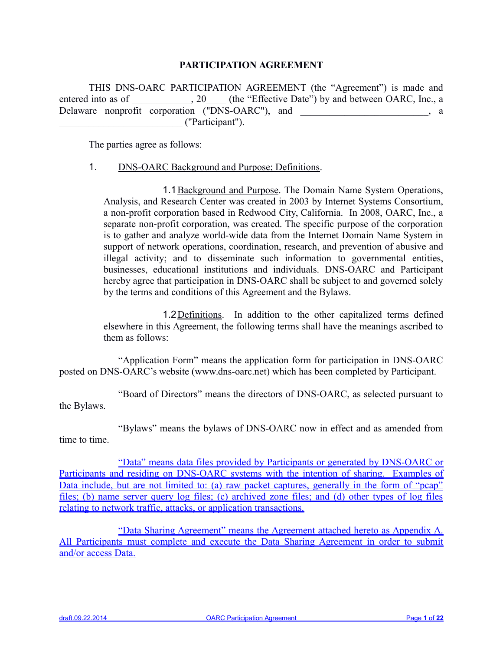## **PARTICIPATION AGREEMENT**

THIS DNS-OARC PARTICIPATION AGREEMENT (the "Agreement") is made and entered into as of \_\_\_\_\_\_\_\_\_\_, 20\_\_\_\_ (the "Effective Date") by and between OARC, Inc., a Delaware nonprofit corporation ("DNS-OARC"), and \_\_\_\_\_\_\_\_\_\_\_\_\_\_\_\_\_\_\_\_, a \_\_\_\_\_\_\_\_\_\_\_\_\_\_\_\_\_\_\_\_\_\_\_\_\_ ("Participant").

The parties agree as follows:

## 1. DNS-OARC Background and Purpose; Definitions.

1.1Background and Purpose. The Domain Name System Operations, Analysis, and Research Center was created in 2003 by Internet Systems Consortium, a non-profit corporation based in Redwood City, California. In 2008, OARC, Inc., a separate non-profit corporation, was created. The specific purpose of the corporation is to gather and analyze world-wide data from the Internet Domain Name System in support of network operations, coordination, research, and prevention of abusive and illegal activity; and to disseminate such information to governmental entities, businesses, educational institutions and individuals. DNS-OARC and Participant hereby agree that participation in DNS-OARC shall be subject to and governed solely by the terms and conditions of this Agreement and the Bylaws.

1.2Definitions. In addition to the other capitalized terms defined elsewhere in this Agreement, the following terms shall have the meanings ascribed to them as follows:

"Application Form" means the application form for participation in DNS-OARC posted on DNS-OARC's website (www.dns-oarc.net) which has been completed by Participant.

"Board of Directors" means the directors of DNS-OARC, as selected pursuant to the Bylaws.

"Bylaws" means the bylaws of DNS-OARC now in effect and as amended from time to time.

"Data" means data files provided by Participants or generated by DNS-OARC or Participants and residing on DNS-OARC systems with the intention of sharing. Examples of Data include, but are not limited to: (a) raw packet captures, generally in the form of "pcap" files; (b) name server query log files; (c) archived zone files; and (d) other types of log files relating to network traffic, attacks, or application transactions.

"Data Sharing Agreement" means the Agreement attached hereto as Appendix A. All Participants must complete and execute the Data Sharing Agreement in order to submit and/or access Data.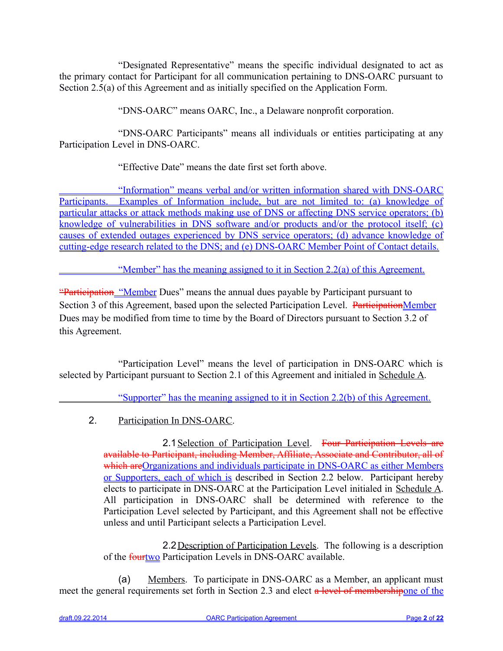"Designated Representative" means the specific individual designated to act as the primary contact for Participant for all communication pertaining to DNS-OARC pursuant to Section 2.5(a) of this Agreement and as initially specified on the Application Form.

"DNS-OARC" means OARC, Inc., a Delaware nonprofit corporation.

"DNS-OARC Participants" means all individuals or entities participating at any Participation Level in DNS-OARC.

"Effective Date" means the date first set forth above.

 "Information" means verbal and/or written information shared with DNS-OARC Participants. Examples of Information include, but are not limited to: (a) knowledge of particular attacks or attack methods making use of DNS or affecting DNS service operators; (b) knowledge of vulnerabilities in DNS software and/or products and/or the protocol itself; (c) causes of extended outages experienced by DNS service operators; (d) advance knowledge of cutting-edge research related to the DNS; and (e) DNS-OARC Member Point of Contact details.

"Member" has the meaning assigned to it in Section 2.2(a) of this Agreement.

"Participation "Member Dues" means the annual dues payable by Participant pursuant to Section 3 of this Agreement, based upon the selected Participation Level. ParticipationMember Dues may be modified from time to time by the Board of Directors pursuant to Section 3.2 of this Agreement.

"Participation Level" means the level of participation in DNS-OARC which is selected by Participant pursuant to Section 2.1 of this Agreement and initialed in Schedule A.

"Supporter" has the meaning assigned to it in Section 2.2(b) of this Agreement.

2. Participation In DNS-OARC.

2.1 Selection of Participation Level. Four Participation Levels are available to Participant, including Member, Affiliate, Associate and Contributor, all of which are Organizations and individuals participate in DNS-OARC as either Members or Supporters, each of which is described in Section 2.2 below. Participant hereby elects to participate in DNS-OARC at the Participation Level initialed in Schedule A. All participation in DNS-OARC shall be determined with reference to the Participation Level selected by Participant, and this Agreement shall not be effective unless and until Participant selects a Participation Level.

2.2 Description of Participation Levels. The following is a description of the **fourtwo** Participation Levels in DNS-OARC available.

(a) Members. To participate in DNS-OARC as a Member, an applicant must meet the general requirements set forth in Section 2.3 and elect a level of membershipone of the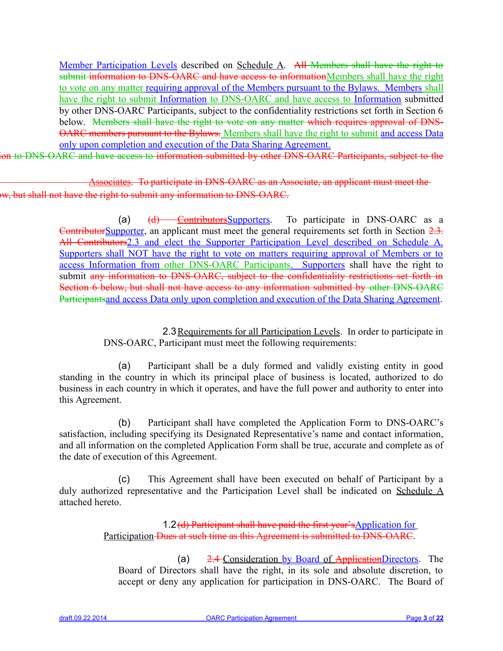Member Participation Levels described on Schedule A. All Members shall have the right to submit information to DNS-OARC and have access to informationMembers shall have the right to vote on any matter requiring approval of the Members pursuant to the Bylaws. Members shall have the right to submit Information to DNS-OARC and have access to Information submitted by other DNS-OARC Participants, subject to the confidentiality restrictions set forth in Section 6 below. Members shall have the right to vote on any matter which requires approval of DNS-OARC members pursuant to the Bylaws. Members shall have the right to submit and access Data only upon completion and execution of the Data Sharing Agreement.

ion to DNS-OARC and have access to information submitted by other DNS-OARC Participants, subject to the

 Associates. To participate in DNS-OARC as an Associate, an applicant must meet the w, but shall not have the right to submit any information to DNS-OARC.

> (a)  $(d)$  Contributors Supporters. To participate in DNS-OARC as a ContributorSupporter, an applicant must meet the general requirements set forth in Section 2.3. All Contributors2.3 and elect the Supporter Participation Level described on Schedule A. Supporters shall NOT have the right to vote on matters requiring approval of Members or to access Information from other DNS-OARC Participants. Supporters shall have the right to submit any information to DNS-OARC, subject to the confidentiality restrictions set forth in Section 6 below, but shall not have access to any information submitted by other DNS-OARC Participantsand access Data only upon completion and execution of the Data Sharing Agreement.

> > 2.3Requirements for all Participation Levels. In order to participate in DNS-OARC, Participant must meet the following requirements:

(a) Participant shall be a duly formed and validly existing entity in good standing in the country in which its principal place of business is located, authorized to do business in each country in which it operates, and have the full power and authority to enter into this Agreement.

(b) Participant shall have completed the Application Form to DNS-OARC's satisfaction, including specifying its Designated Representative's name and contact information, and all information on the completed Application Form shall be true, accurate and complete as of the date of execution of this Agreement.

(c) This Agreement shall have been executed on behalf of Participant by a duly authorized representative and the Participation Level shall be indicated on Schedule A attached hereto.

> 1.2(d) Participant shall have paid the first year'sApplication for Participation Dues at such time as this Agreement is submitted to DNS-OARC.

(a)  $2.4$ -Consideration by Board of ApplicationDirectors. The Board of Directors shall have the right, in its sole and absolute discretion, to accept or deny any application for participation in DNS-OARC. The Board of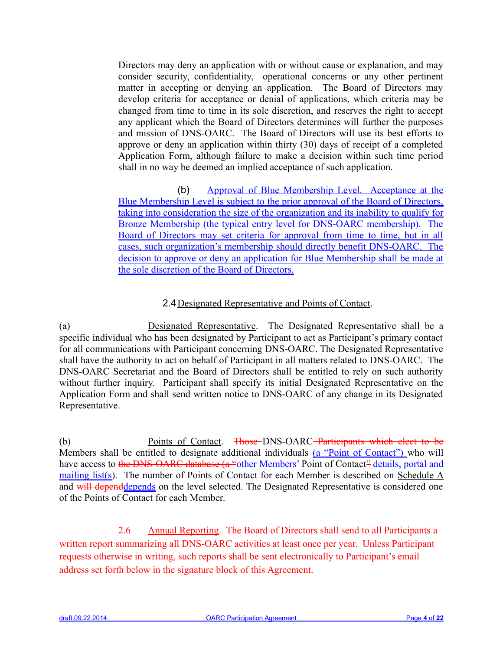Directors may deny an application with or without cause or explanation, and may consider security, confidentiality, operational concerns or any other pertinent matter in accepting or denying an application. The Board of Directors may develop criteria for acceptance or denial of applications, which criteria may be changed from time to time in its sole discretion, and reserves the right to accept any applicant which the Board of Directors determines will further the purposes and mission of DNS-OARC. The Board of Directors will use its best efforts to approve or deny an application within thirty (30) days of receipt of a completed Application Form, although failure to make a decision within such time period shall in no way be deemed an implied acceptance of such application.

(b) Approval of Blue Membership Level. Acceptance at the Blue Membership Level is subject to the prior approval of the Board of Directors, taking into consideration the size of the organization and its inability to qualify for Bronze Membership (the typical entry level for DNS-OARC membership). The Board of Directors may set criteria for approval from time to time, but in all cases, such organization's membership should directly benefit DNS-OARC. The decision to approve or deny an application for Blue Membership shall be made at the sole discretion of the Board of Directors.

# 2.4Designated Representative and Points of Contact.

(a) Designated Representative. The Designated Representative shall be a specific individual who has been designated by Participant to act as Participant's primary contact for all communications with Participant concerning DNS-OARC. The Designated Representative shall have the authority to act on behalf of Participant in all matters related to DNS-OARC. The DNS-OARC Secretariat and the Board of Directors shall be entitled to rely on such authority without further inquiry. Participant shall specify its initial Designated Representative on the Application Form and shall send written notice to DNS-OARC of any change in its Designated Representative.

(b) Points of Contact. Those DNS-OARC Participants which elect to be Members shall be entitled to designate additional individuals (a "Point of Contact") who will have access to the DNS-OARC database (a "other Members' Point of Contact" details, portal and mailing list(s). The number of Points of Contact for each Member is described on Schedule A and will dependdepends on the level selected. The Designated Representative is considered one of the Points of Contact for each Member.

2.6 Annual Reporting. The Board of Directors shall send to all Participants a written report summarizing all DNS-OARC activities at least once per year. Unless Participant requests otherwise in writing, such reports shall be sent electronically to Participant's email address set forth below in the signature block of this Agreement.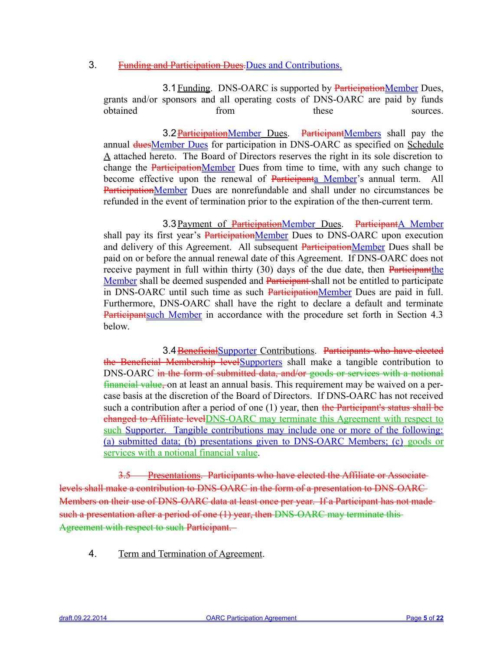## 3. Funding and Participation Dues.Dues and Contributions.

3.1 Funding. DNS-OARC is supported by ParticipationMember Dues, grants and/or sponsors and all operating costs of DNS-OARC are paid by funds obtained from these sources.

3.2 ParticipationMember Dues. ParticipantMembers shall pay the annual duesMember Dues for participation in DNS-OARC as specified on Schedule A attached hereto. The Board of Directors reserves the right in its sole discretion to change the ParticipationMember Dues from time to time, with any such change to become effective upon the renewal of Participanta Member's annual term. All ParticipationMember Dues are nonrefundable and shall under no circumstances be refunded in the event of termination prior to the expiration of the then-current term.

3.3 Payment of ParticipationMember Dues. ParticipantA Member shall pay its first year's **ParticipationMember** Dues to DNS-OARC upon execution and delivery of this Agreement. All subsequent ParticipationMember Dues shall be paid on or before the annual renewal date of this Agreement. If DNS-OARC does not receive payment in full within thirty (30) days of the due date, then Participant the Member shall be deemed suspended and Participant-shall not be entitled to participate in DNS-OARC until such time as such ParticipationMember Dues are paid in full. Furthermore, DNS-OARC shall have the right to declare a default and terminate Participantsuch Member in accordance with the procedure set forth in Section 4.3 below.

3.4 BeneficialSupporter Contributions. Participants who have elected the Beneficial Membership levelSupporters shall make a tangible contribution to DNS-OARC in the form of submitted data, and/or goods or services with a notional financial value, on at least an annual basis. This requirement may be waived on a percase basis at the discretion of the Board of Directors. If DNS-OARC has not received such a contribution after a period of one  $(1)$  year, then the Participant's status shall be changed to Affiliate levelDNS-OARC may terminate this Agreement with respect to such Supporter. Tangible contributions may include one or more of the following: (a) submitted data; (b) presentations given to DNS-OARC Members; (c) goods or services with a notional financial value.

3.5 Presentations. Participants who have elected the Affiliate or Associate levels shall make a contribution to DNS-OARC in the form of a presentation to DNS-OARC Members on their use of DNS-OARC data at least once per year. If a Participant has not made such a presentation after a period of one (1) year, then DNS-OARC may terminate this Agreement with respect to such Participant.

4. Term and Termination of Agreement.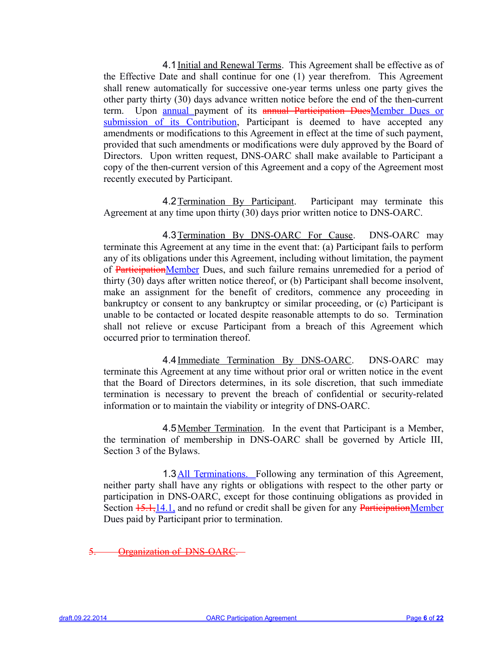4.1 Initial and Renewal Terms. This Agreement shall be effective as of the Effective Date and shall continue for one (1) year therefrom. This Agreement shall renew automatically for successive one-year terms unless one party gives the other party thirty (30) days advance written notice before the end of the then-current term. Upon annual payment of its annual Participation DuesMember Dues or submission of its Contribution, Participant is deemed to have accepted any amendments or modifications to this Agreement in effect at the time of such payment, provided that such amendments or modifications were duly approved by the Board of Directors. Upon written request, DNS-OARC shall make available to Participant a copy of the then-current version of this Agreement and a copy of the Agreement most recently executed by Participant.

4.2Termination By Participant. Participant may terminate this Agreement at any time upon thirty (30) days prior written notice to DNS-OARC.

4.3Termination By DNS-OARC For Cause. DNS-OARC may terminate this Agreement at any time in the event that: (a) Participant fails to perform any of its obligations under this Agreement, including without limitation, the payment of ParticipationMember Dues, and such failure remains unremedied for a period of thirty (30) days after written notice thereof, or (b) Participant shall become insolvent, make an assignment for the benefit of creditors, commence any proceeding in bankruptcy or consent to any bankruptcy or similar proceeding, or (c) Participant is unable to be contacted or located despite reasonable attempts to do so. Termination shall not relieve or excuse Participant from a breach of this Agreement which occurred prior to termination thereof.

4.4 Immediate Termination By DNS-OARC. DNS-OARC may terminate this Agreement at any time without prior oral or written notice in the event that the Board of Directors determines, in its sole discretion, that such immediate termination is necessary to prevent the breach of confidential or security-related information or to maintain the viability or integrity of DNS-OARC.

4.5 Member Termination. In the event that Participant is a Member, the termination of membership in DNS-OARC shall be governed by Article III, Section 3 of the Bylaws.

1.3 All Terminations. Following any termination of this Agreement, neither party shall have any rights or obligations with respect to the other party or participation in DNS-OARC, except for those continuing obligations as provided in Section  $15.1,14.1$ , and no refund or credit shall be given for any ParticipationMember Dues paid by Participant prior to termination.

5. Organization of DNS-OARC.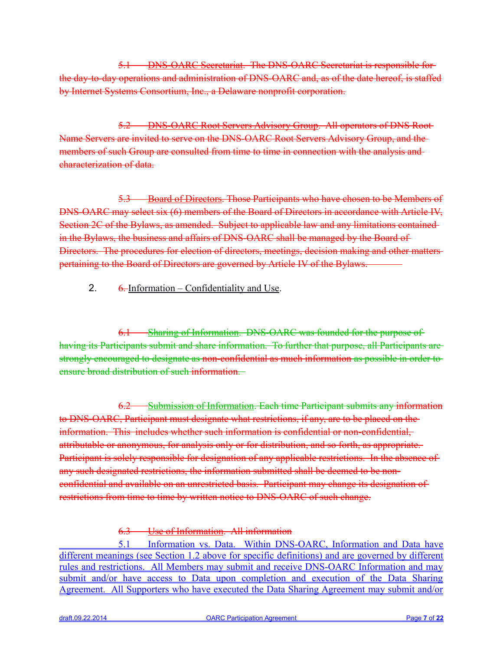5.1 DNS-OARC Secretariat. The DNS-OARC Secretariat is responsible for the day-to-day operations and administration of DNS-OARC and, as of the date hereof, is staffed by Internet Systems Consortium, Inc., a Delaware nonprofit corporation.

5.2 DNS-OARC Root Servers Advisory Group. All operators of DNS Root Name Servers are invited to serve on the DNS-OARC Root Servers Advisory Group, and the members of such Group are consulted from time to time in connection with the analysis and characterization of data.

5.3 Board of Directors. Those Participants who have chosen to be Members of DNS-OARC may select six (6) members of the Board of Directors in accordance with Article IV, Section 2C of the Bylaws, as amended. Subject to applicable law and any limitations contained in the Bylaws, the business and affairs of DNS-OARC shall be managed by the Board of Directors. The procedures for election of directors, meetings, decision making and other matters pertaining to the Board of Directors are governed by Article IV of the Bylaws.

# 2.  $\frac{6}{2}$  6. Information – Confidentiality and Use.

6.1 Sharing of Information. DNS-OARC was founded for the purpose of having its Participants submit and share information. To further that purpose, all Participants are strongly encouraged to designate as non-confidential as much information as possible in order to ensure broad distribution of such information.

6.2 Submission of Information. Each time Participant submits any information to DNS-OARC, Participant must designate what restrictions, if any, are to be placed on the information. This includes whether such information is confidential or non-confidential, attributable or anonymous, for analysis only or for distribution, and so forth, as appropriate. Participant is solely responsible for designation of any applicable restrictions. In the absence of any such designated restrictions, the information submitted shall be deemed to be nonconfidential and available on an unrestricted basis. Participant may change its designation of restrictions from time to time by written notice to DNS-OARC of such change.

6.3 Use of Information. All information

 5.1 Information vs. Data. Within DNS-OARC, Information and Data have different meanings (see Section 1.2 above for specific definitions) and are governed by different rules and restrictions. All Members may submit and receive DNS-OARC Information and may submit and/or have access to Data upon completion and execution of the Data Sharing Agreement. All Supporters who have executed the Data Sharing Agreement may submit and/or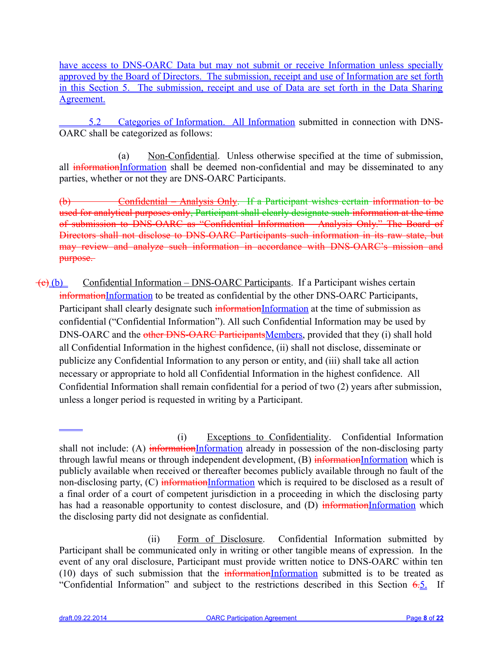have access to DNS-OARC Data but may not submit or receive Information unless specially approved by the Board of Directors. The submission, receipt and use of Information are set forth in this Section 5. The submission, receipt and use of Data are set forth in the Data Sharing Agreement.

 5.2 Categories of Information. All Information submitted in connection with DNS-OARC shall be categorized as follows:

(a) Non-Confidential. Unless otherwise specified at the time of submission, all informationInformation shall be deemed non-confidential and may be disseminated to any parties, whether or not they are DNS-OARC Participants.

(b) Confidential – Analysis Only. If a Participant wishes certain information to be used for analytical purposes only, Participant shall clearly designate such information at the time of submission to DNS-OARC as "Confidential Information – Analysis Only." The Board of Directors shall not disclose to DNS-OARC Participants such information in its raw state, but may review and analyze such information in accordance with DNS-OARC's mission and purpose.

 $\overline{(e)(b)}$  Confidential Information – DNS-OARC Participants. If a Participant wishes certain informationInformation to be treated as confidential by the other DNS-OARC Participants, Participant shall clearly designate such informationInformation at the time of submission as confidential ("Confidential Information"). All such Confidential Information may be used by DNS-OARC and the other DNS-OARC ParticipantsMembers, provided that they (i) shall hold all Confidential Information in the highest confidence, (ii) shall not disclose, disseminate or publicize any Confidential Information to any person or entity, and (iii) shall take all action necessary or appropriate to hold all Confidential Information in the highest confidence. All Confidential Information shall remain confidential for a period of two (2) years after submission, unless a longer period is requested in writing by a Participant.

 $\overline{a}$ 

<sup>(</sup>i) Exceptions to Confidentiality. Confidential Information shall not include: (A) informationInformation already in possession of the non-disclosing party through lawful means or through independent development,  $(B)$  informationInformation which is publicly available when received or thereafter becomes publicly available through no fault of the non-disclosing party, (C) informationInformation which is required to be disclosed as a result of a final order of a court of competent jurisdiction in a proceeding in which the disclosing party has had a reasonable opportunity to contest disclosure, and (D) informationInformation which the disclosing party did not designate as confidential.

<sup>(</sup>ii) Form of Disclosure. Confidential Information submitted by Participant shall be communicated only in writing or other tangible means of expression. In the event of any oral disclosure, Participant must provide written notice to DNS-OARC within ten (10) days of such submission that the  $\frac{1}{100}$  information submitted is to be treated as "Confidential Information" and subject to the restrictions described in this Section 6.5. If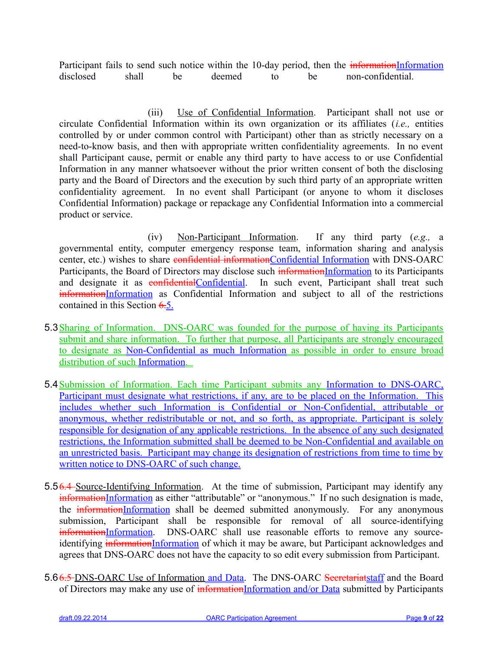Participant fails to send such notice within the 10-day period, then the *informationInformation* disclosed shall be deemed to be non-confidential.

(iii) Use of Confidential Information. Participant shall not use or circulate Confidential Information within its own organization or its affiliates (*i.e.,* entities controlled by or under common control with Participant) other than as strictly necessary on a need-to-know basis, and then with appropriate written confidentiality agreements. In no event shall Participant cause, permit or enable any third party to have access to or use Confidential Information in any manner whatsoever without the prior written consent of both the disclosing party and the Board of Directors and the execution by such third party of an appropriate written confidentiality agreement. In no event shall Participant (or anyone to whom it discloses Confidential Information) package or repackage any Confidential Information into a commercial product or service.

(iv) Non-Participant Information. If any third party (*e.g.,* a governmental entity, computer emergency response team, information sharing and analysis center, etc.) wishes to share confidential informationConfidential Information with DNS-OARC Participants, the Board of Directors may disclose such informationInformation to its Participants and designate it as **confidential**Confidential. In such event, Participant shall treat such informationInformation as Confidential Information and subject to all of the restrictions contained in this Section 6.5.

- 5.3Sharing of Information. DNS-OARC was founded for the purpose of having its Participants submit and share information. To further that purpose, all Participants are strongly encouraged to designate as Non-Confidential as much Information as possible in order to ensure broad distribution of such Information.
- 5.4 Submission of Information. Each time Participant submits any Information to DNS-OARC, Participant must designate what restrictions, if any, are to be placed on the Information. This includes whether such Information is Confidential or Non-Confidential, attributable or anonymous, whether redistributable or not, and so forth, as appropriate. Participant is solely responsible for designation of any applicable restrictions. In the absence of any such designated restrictions, the Information submitted shall be deemed to be Non-Confidential and available on an unrestricted basis. Participant may change its designation of restrictions from time to time by written notice to DNS-OARC of such change.
- 5.56.4 Source-Identifying Information. At the time of submission, Participant may identify any informationInformation as either "attributable" or "anonymous." If no such designation is made, the informationInformation shall be deemed submitted anonymously. For any anonymous submission, Participant shall be responsible for removal of all source-identifying informationInformation. DNS-OARC shall use reasonable efforts to remove any sourceidentifying informationInformation of which it may be aware, but Participant acknowledges and agrees that DNS-OARC does not have the capacity to so edit every submission from Participant.
- 5.66.5 DNS-OARC Use of Information and Data. The DNS-OARC Secretariatstaff and the Board of Directors may make any use of informationInformation and/or Data submitted by Participants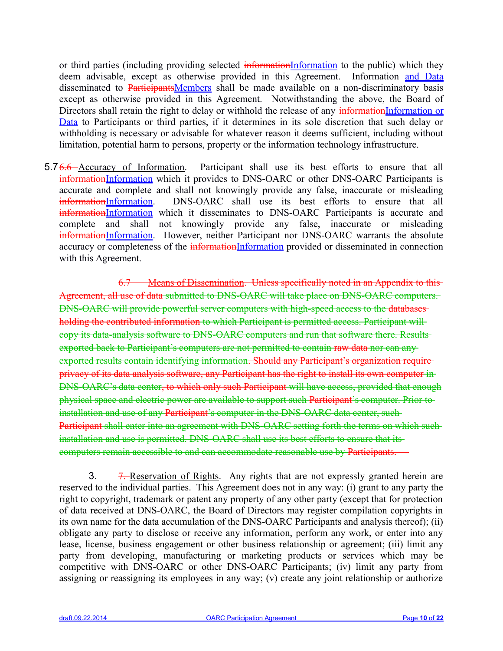or third parties (including providing selected informationInformation to the public) which they deem advisable, except as otherwise provided in this Agreement. Information and Data disseminated to ParticipantsMembers shall be made available on a non-discriminatory basis except as otherwise provided in this Agreement. Notwithstanding the above, the Board of Directors shall retain the right to delay or withhold the release of any informationInformation or Data to Participants or third parties, if it determines in its sole discretion that such delay or withholding is necessary or advisable for whatever reason it deems sufficient, including without limitation, potential harm to persons, property or the information technology infrastructure.

5.76.6 Accuracy of Information. Participant shall use its best efforts to ensure that all informationInformation which it provides to DNS-OARC or other DNS-OARC Participants is accurate and complete and shall not knowingly provide any false, inaccurate or misleading informationInformation. DNS-OARC shall use its best efforts to ensure that all informationInformation which it disseminates to DNS-OARC Participants is accurate and complete and shall not knowingly provide any false, inaccurate or misleading informationInformation. However, neither Participant nor DNS-OARC warrants the absolute accuracy or completeness of the informationInformation provided or disseminated in connection with this Agreement.

6.7 Means of Dissemination. Unless specifically noted in an Appendix to this Agreement, all use of data submitted to DNS-OARC will take place on DNS-OARC computers. DNS-OARC will provide powerful server computers with high-speed access to the databases holding the contributed information to which Participant is permitted access. Participant will copy its data-analysis software to DNS-OARC computers and run that software there. Results exported back to Participant's computers are not permitted to contain raw data nor can any exported results contain identifying information. Should any Participant's organization require privacy of its data analysis software, any Participant has the right to install its own computer in DNS-OARC's data center, to which only such Participant will have access, provided that enough physical space and electric power are available to support such Participant's computer. Prior to installation and use of any Participant's computer in the DNS-OARC data center, such Participant shall enter into an agreement with DNS-OARC setting forth the terms on which such installation and use is permitted. DNS-OARC shall use its best efforts to ensure that its computers remain accessible to and can accommodate reasonable use by Participants.

3. 7. Reservation of Rights. Any rights that are not expressly granted herein are reserved to the individual parties. This Agreement does not in any way: (i) grant to any party the right to copyright, trademark or patent any property of any other party (except that for protection of data received at DNS-OARC, the Board of Directors may register compilation copyrights in its own name for the data accumulation of the DNS-OARC Participants and analysis thereof); (ii) obligate any party to disclose or receive any information, perform any work, or enter into any lease, license, business engagement or other business relationship or agreement; (iii) limit any party from developing, manufacturing or marketing products or services which may be competitive with DNS-OARC or other DNS-OARC Participants; (iv) limit any party from assigning or reassigning its employees in any way; (v) create any joint relationship or authorize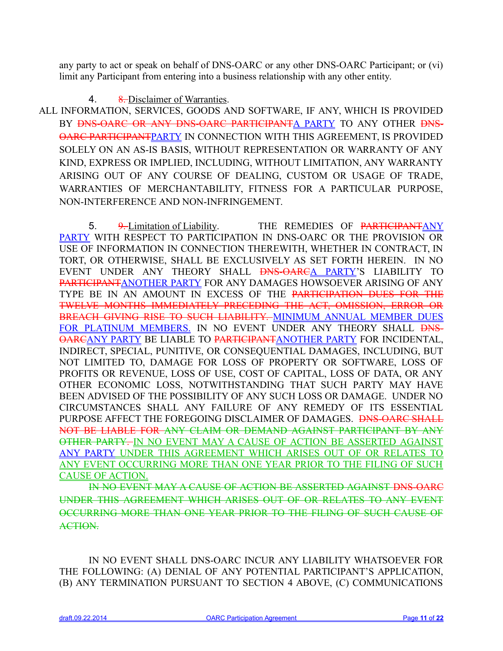any party to act or speak on behalf of DNS-OARC or any other DNS-OARC Participant; or (vi) limit any Participant from entering into a business relationship with any other entity.

# 4. 8. Disclaimer of Warranties.

 ALL INFORMATION, SERVICES, GOODS AND SOFTWARE, IF ANY, WHICH IS PROVIDED BY <del>DNS-OARC OR ANY DNS-OARC PARTICIPANTA</del> PARTY TO ANY OTHER DNS-OARC PARTICIPANTPARTY IN CONNECTION WITH THIS AGREEMENT, IS PROVIDED SOLELY ON AN AS-IS BASIS, WITHOUT REPRESENTATION OR WARRANTY OF ANY KIND, EXPRESS OR IMPLIED, INCLUDING, WITHOUT LIMITATION, ANY WARRANTY ARISING OUT OF ANY COURSE OF DEALING, CUSTOM OR USAGE OF TRADE, WARRANTIES OF MERCHANTABILITY, FITNESS FOR A PARTICULAR PURPOSE, NON-INTERFERENCE AND NON-INFRINGEMENT.

5. 9. Limitation of Liability. THE REMEDIES OF PARTICIPANTANY PARTY WITH RESPECT TO PARTICIPATION IN DNS-OARC OR THE PROVISION OR USE OF INFORMATION IN CONNECTION THEREWITH, WHETHER IN CONTRACT, IN TORT, OR OTHERWISE, SHALL BE EXCLUSIVELY AS SET FORTH HEREIN. IN NO EVENT UNDER ANY THEORY SHALL **DNS-OARCA PARTY'S** LIABILITY TO PARTICIPANTANOTHER PARTY FOR ANY DAMAGES HOWSOEVER ARISING OF ANY TYPE BE IN AN AMOUNT IN EXCESS OF THE PARTICIPATION DUES FOR THE TWELVE MONTHS IMMEDIATELY PRECEDING THE ACT, OMISSION, ERROR OR BREACH GIVING RISE TO SUCH LIABILITY. MINIMUM ANNUAL MEMBER DUES FOR PLATINUM MEMBERS. IN NO EVENT UNDER ANY THEORY SHALL PNS-OARCANY PARTY BE LIABLE TO PARTICIPANTANOTHER PARTY FOR INCIDENTAL, INDIRECT, SPECIAL, PUNITIVE, OR CONSEQUENTIAL DAMAGES, INCLUDING, BUT NOT LIMITED TO, DAMAGE FOR LOSS OF PROPERTY OR SOFTWARE, LOSS OF PROFITS OR REVENUE, LOSS OF USE, COST OF CAPITAL, LOSS OF DATA, OR ANY OTHER ECONOMIC LOSS, NOTWITHSTANDING THAT SUCH PARTY MAY HAVE BEEN ADVISED OF THE POSSIBILITY OF ANY SUCH LOSS OR DAMAGE. UNDER NO CIRCUMSTANCES SHALL ANY FAILURE OF ANY REMEDY OF ITS ESSENTIAL PURPOSE AFFECT THE FOREGOING DISCLAIMER OF DAMAGES. <del>DNS-OARC SHALL</del> NOT BE LIABLE FOR ANY CLAIM OR DEMAND AGAINST PARTICIPANT BY ANY OTHER PARTY. IN NO EVENT MAY A CAUSE OF ACTION BE ASSERTED AGAINST ANY PARTY UNDER THIS AGREEMENT WHICH ARISES OUT OF OR RELATES TO ANY EVENT OCCURRING MORE THAN ONE YEAR PRIOR TO THE FILING OF SUCH CAUSE OF ACTION.

IN NO EVENT MAY A CAUSE OF ACTION BE ASSERTED AGAINST DNS-OARC UNDER THIS AGREEMENT WHICH ARISES OUT OF OR RELATES TO ANY EVENT OCCURRING MORE THAN ONE YEAR PRIOR TO THE FILING OF SUCH CAUSE OF ACTION.

IN NO EVENT SHALL DNS-OARC INCUR ANY LIABILITY WHATSOEVER FOR THE FOLLOWING: (A) DENIAL OF ANY POTENTIAL PARTICIPANT'S APPLICATION, (B) ANY TERMINATION PURSUANT TO SECTION 4 ABOVE, (C) COMMUNICATIONS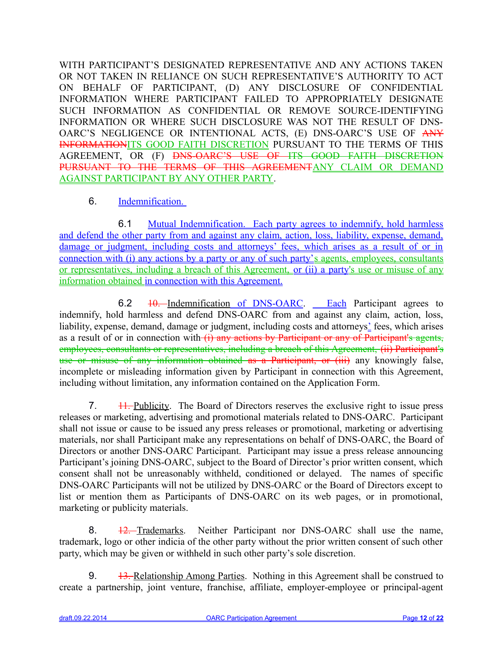WITH PARTICIPANT'S DESIGNATED REPRESENTATIVE AND ANY ACTIONS TAKEN OR NOT TAKEN IN RELIANCE ON SUCH REPRESENTATIVE'S AUTHORITY TO ACT ON BEHALF OF PARTICIPANT, (D) ANY DISCLOSURE OF CONFIDENTIAL INFORMATION WHERE PARTICIPANT FAILED TO APPROPRIATELY DESIGNATE SUCH INFORMATION AS CONFIDENTIAL OR REMOVE SOURCE-IDENTIFYING INFORMATION OR WHERE SUCH DISCLOSURE WAS NOT THE RESULT OF DNS-OARC'S NEGLIGENCE OR INTENTIONAL ACTS, (E) DNS-OARC'S USE OF ANY INFORMATIONITS GOOD FAITH DISCRETION PURSUANT TO THE TERMS OF THIS AGREEMENT, OR (F) DNS-OARC'S USE OF ITS GOOD FAITH DISCRETION PURSUANT TO THE TERMS OF THIS AGREEMENTANY CLAIM OR DEMAND AGAINST PARTICIPANT BY ANY OTHER PARTY.

# 6. Indemnification.

6.1 Mutual Indemnification. Each party agrees to indemnify, hold harmless and defend the other party from and against any claim, action, loss, liability, expense, demand, damage or judgment, including costs and attorneys' fees, which arises as a result of or in connection with (i) any actions by a party or any of such party's agents, employees, consultants or representatives, including a breach of this Agreement, or (ii) a party's use or misuse of any information obtained in connection with this Agreement.

6.2 <del>10. Indemnification of DNS-OARC. Each</del> Participant agrees to indemnify, hold harmless and defend DNS-OARC from and against any claim, action, loss, liability, expense, demand, damage or judgment, including costs and attorneys' fees, which arises as a result of or in connection with  $(i)$  any actions by Participant or any of Participant's agents, employees, consultants or representatives, including a breach of this Agreement, (ii) Participant's use or misuse of any information obtained as a Participant, or (iii) any knowingly false, incomplete or misleading information given by Participant in connection with this Agreement, including without limitation, any information contained on the Application Form.

7. 11. Publicity. The Board of Directors reserves the exclusive right to issue press releases or marketing, advertising and promotional materials related to DNS-OARC. Participant shall not issue or cause to be issued any press releases or promotional, marketing or advertising materials, nor shall Participant make any representations on behalf of DNS-OARC, the Board of Directors or another DNS-OARC Participant. Participant may issue a press release announcing Participant's joining DNS-OARC, subject to the Board of Director's prior written consent, which consent shall not be unreasonably withheld, conditioned or delayed. The names of specific DNS-OARC Participants will not be utilized by DNS-OARC or the Board of Directors except to list or mention them as Participants of DNS-OARC on its web pages, or in promotional, marketing or publicity materials.

8.  $\frac{12}{12}$  Trademarks. Neither Participant nor DNS-OARC shall use the name, trademark, logo or other indicia of the other party without the prior written consent of such other party, which may be given or withheld in such other party's sole discretion.

9. 13. Relationship Among Parties. Nothing in this Agreement shall be construed to create a partnership, joint venture, franchise, affiliate, employer-employee or principal-agent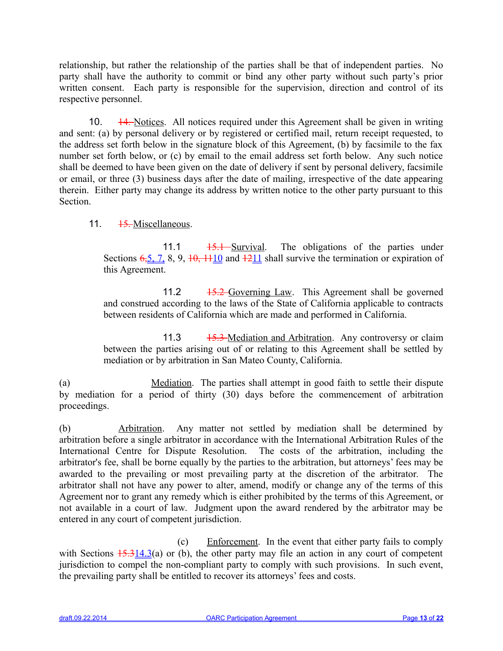relationship, but rather the relationship of the parties shall be that of independent parties. No party shall have the authority to commit or bind any other party without such party's prior written consent. Each party is responsible for the supervision, direction and control of its respective personnel.

10.  $\frac{14}{10}$  10.  $\frac{14}{10}$  Notices. All notices required under this Agreement shall be given in writing and sent: (a) by personal delivery or by registered or certified mail, return receipt requested, to the address set forth below in the signature block of this Agreement, (b) by facsimile to the fax number set forth below, or (c) by email to the email address set forth below. Any such notice shall be deemed to have been given on the date of delivery if sent by personal delivery, facsimile or email, or three (3) business days after the date of mailing, irrespective of the date appearing therein. Either party may change its address by written notice to the other party pursuant to this **Section** 

# 11. <del>15.</del> Miscellaneous.

11.1 <del>15.1 Survival</del>. The obligations of the parties under Sections  $6,5, 7, 8, 9, 10, 1110$  and  $1211$  shall survive the termination or expiration of this Agreement.

11.2 <del>15.2 Governing Law</del>. This Agreement shall be governed and construed according to the laws of the State of California applicable to contracts between residents of California which are made and performed in California.

11.3 <del>15.3 Mediation and Arbitration.</del> Any controversy or claim between the parties arising out of or relating to this Agreement shall be settled by mediation or by arbitration in San Mateo County, California.

(a) Mediation. The parties shall attempt in good faith to settle their dispute by mediation for a period of thirty (30) days before the commencement of arbitration proceedings.

(b) Arbitration. Any matter not settled by mediation shall be determined by arbitration before a single arbitrator in accordance with the International Arbitration Rules of the International Centre for Dispute Resolution. The costs of the arbitration, including the arbitrator's fee, shall be borne equally by the parties to the arbitration, but attorneys' fees may be awarded to the prevailing or most prevailing party at the discretion of the arbitrator. The arbitrator shall not have any power to alter, amend, modify or change any of the terms of this Agreement nor to grant any remedy which is either prohibited by the terms of this Agreement, or not available in a court of law. Judgment upon the award rendered by the arbitrator may be entered in any court of competent jurisdiction.

(c) Enforcement. In the event that either party fails to comply with Sections  $\frac{15.314.3(a)}{20}$  or (b), the other party may file an action in any court of competent jurisdiction to compel the non-compliant party to comply with such provisions. In such event, the prevailing party shall be entitled to recover its attorneys' fees and costs.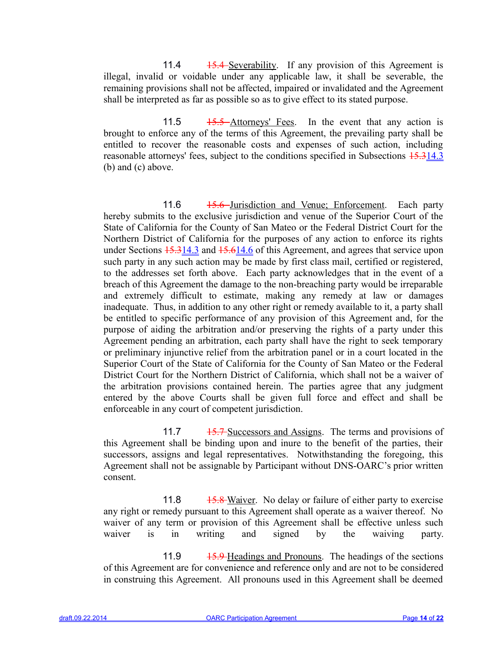11.4 15.4 Severability. If any provision of this Agreement is illegal, invalid or voidable under any applicable law, it shall be severable, the remaining provisions shall not be affected, impaired or invalidated and the Agreement shall be interpreted as far as possible so as to give effect to its stated purpose.

11.5 <del>15.5 Attorneys' Fees</del>. In the event that any action is brought to enforce any of the terms of this Agreement, the prevailing party shall be entitled to recover the reasonable costs and expenses of such action, including reasonable attorneys' fees, subject to the conditions specified in Subsections  $15.314.3$ (b) and (c) above.

11.6 <del>15.6 Jurisdiction and Venue; Enforcement.</del> Each party hereby submits to the exclusive jurisdiction and venue of the Superior Court of the State of California for the County of San Mateo or the Federal District Court for the Northern District of California for the purposes of any action to enforce its rights under Sections  $15.314.3$  and  $15.614.6$  of this Agreement, and agrees that service upon such party in any such action may be made by first class mail, certified or registered, to the addresses set forth above. Each party acknowledges that in the event of a breach of this Agreement the damage to the non-breaching party would be irreparable and extremely difficult to estimate, making any remedy at law or damages inadequate. Thus, in addition to any other right or remedy available to it, a party shall be entitled to specific performance of any provision of this Agreement and, for the purpose of aiding the arbitration and/or preserving the rights of a party under this Agreement pending an arbitration, each party shall have the right to seek temporary or preliminary injunctive relief from the arbitration panel or in a court located in the Superior Court of the State of California for the County of San Mateo or the Federal District Court for the Northern District of California, which shall not be a waiver of the arbitration provisions contained herein. The parties agree that any judgment entered by the above Courts shall be given full force and effect and shall be enforceable in any court of competent jurisdiction.

11.7 15.7 Successors and Assigns. The terms and provisions of this Agreement shall be binding upon and inure to the benefit of the parties, their successors, assigns and legal representatives. Notwithstanding the foregoing, this Agreement shall not be assignable by Participant without DNS-OARC's prior written consent.

11.8 15.8 Waiver. No delay or failure of either party to exercise any right or remedy pursuant to this Agreement shall operate as a waiver thereof. No waiver of any term or provision of this Agreement shall be effective unless such waiver is in writing and signed by the waiving party.

11.9 15.9 Headings and Pronouns. The headings of the sections of this Agreement are for convenience and reference only and are not to be considered in construing this Agreement. All pronouns used in this Agreement shall be deemed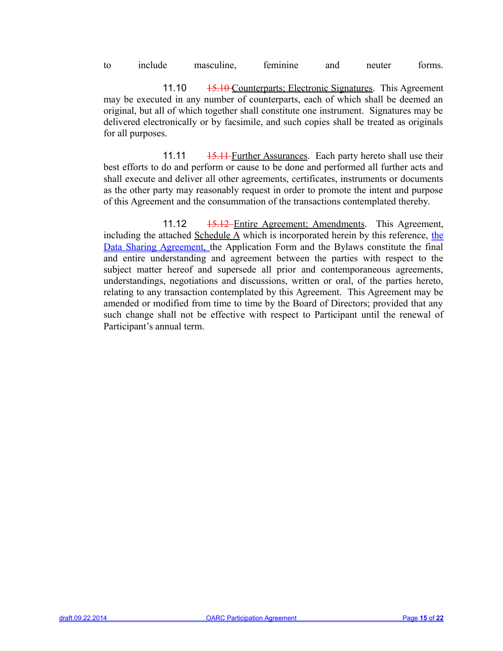to include masculine, feminine and neuter forms.

11.10 <del>15.10</del> Counterparts; Electronic Signatures. This Agreement may be executed in any number of counterparts, each of which shall be deemed an original, but all of which together shall constitute one instrument. Signatures may be delivered electronically or by facsimile, and such copies shall be treated as originals for all purposes.

11.11 <del>15.11 Further Assurances</del>. Each party hereto shall use their best efforts to do and perform or cause to be done and performed all further acts and shall execute and deliver all other agreements, certificates, instruments or documents as the other party may reasonably request in order to promote the intent and purpose of this Agreement and the consummation of the transactions contemplated thereby.

11.12 <del>15.12 Entire Agreement; Amendments</del>. This Agreement, including the attached Schedule A which is incorporated herein by this reference, the Data Sharing Agreement, the Application Form and the Bylaws constitute the final and entire understanding and agreement between the parties with respect to the subject matter hereof and supersede all prior and contemporaneous agreements, understandings, negotiations and discussions, written or oral, of the parties hereto, relating to any transaction contemplated by this Agreement. This Agreement may be amended or modified from time to time by the Board of Directors; provided that any such change shall not be effective with respect to Participant until the renewal of Participant's annual term.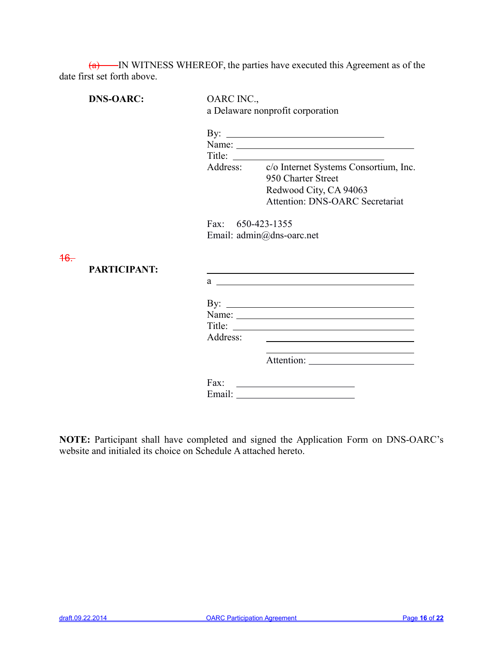$(a)$  IN WITNESS WHEREOF, the parties have executed this Agreement as of the date first set forth above.

|                | <b>DNS-OARC:</b>    | OARC INC.,        | a Delaware nonprofit corporation                                                                                                                                                                                                                                                                                                                                                                             |
|----------------|---------------------|-------------------|--------------------------------------------------------------------------------------------------------------------------------------------------------------------------------------------------------------------------------------------------------------------------------------------------------------------------------------------------------------------------------------------------------------|
|                |                     |                   | By: $\qquad \qquad$<br>Name:                                                                                                                                                                                                                                                                                                                                                                                 |
|                |                     |                   | Title: $\frac{1}{\sqrt{1-\frac{1}{2}}\sqrt{1-\frac{1}{2}}\sqrt{1-\frac{1}{2}}\sqrt{1-\frac{1}{2}}\sqrt{1-\frac{1}{2}}\sqrt{1-\frac{1}{2}}\sqrt{1-\frac{1}{2}}\sqrt{1-\frac{1}{2}}\sqrt{1-\frac{1}{2}}\sqrt{1-\frac{1}{2}}\sqrt{1-\frac{1}{2}}\sqrt{1-\frac{1}{2}}\sqrt{1-\frac{1}{2}}\sqrt{1-\frac{1}{2}}\sqrt{1-\frac{1}{2}}\sqrt{1-\frac{1}{2}}\sqrt{1-\frac{1}{2}}\sqrt{1-\frac{1}{2}}\sqrt{1-\frac{1}{2$ |
|                |                     |                   | Address: c/o Internet Systems Consortium, Inc.<br>950 Charter Street                                                                                                                                                                                                                                                                                                                                         |
|                |                     |                   | Redwood City, CA 94063<br><b>Attention: DNS-OARC Secretariat</b>                                                                                                                                                                                                                                                                                                                                             |
|                |                     | Fax: 650-423-1355 |                                                                                                                                                                                                                                                                                                                                                                                                              |
|                |                     |                   | Email: admin@dns-oarc.net                                                                                                                                                                                                                                                                                                                                                                                    |
| <del>16.</del> |                     |                   |                                                                                                                                                                                                                                                                                                                                                                                                              |
|                | <b>PARTICIPANT:</b> |                   | <u> 1989 - Andrea Stadt Britain, amerikansk politik (* 1958)</u>                                                                                                                                                                                                                                                                                                                                             |
|                |                     |                   | $a \sim a$                                                                                                                                                                                                                                                                                                                                                                                                   |
|                |                     |                   |                                                                                                                                                                                                                                                                                                                                                                                                              |
|                |                     |                   |                                                                                                                                                                                                                                                                                                                                                                                                              |
|                |                     |                   | Title:                                                                                                                                                                                                                                                                                                                                                                                                       |
|                |                     | Address:          |                                                                                                                                                                                                                                                                                                                                                                                                              |
|                |                     |                   |                                                                                                                                                                                                                                                                                                                                                                                                              |
|                |                     |                   | Fax: $\qquad \qquad$                                                                                                                                                                                                                                                                                                                                                                                         |
|                |                     |                   |                                                                                                                                                                                                                                                                                                                                                                                                              |

**NOTE:** Participant shall have completed and signed the Application Form on DNS-OARC's website and initialed its choice on Schedule A attached hereto.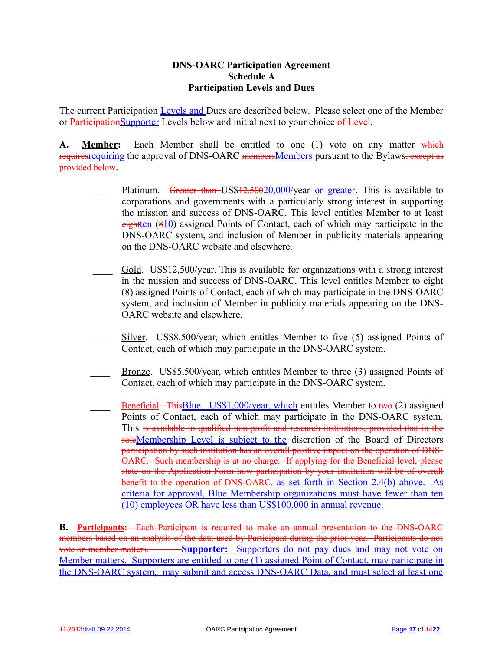## **DNS-OARC Participation Agreement Schedule A Participation Levels and Dues**

The current Participation Levels and Dues are described below. Please select one of the Member or ParticipationSupporter Levels below and initial next to your choice of Level.

A. **Member:** Each Member shall be entitled to one (1) vote on any matter which requires requiring the approval of DNS-OARC members Members pursuant to the Bylaws, except as provided below.

- Platinum. Greater than US\$12,50020,000/year or greater. This is available to corporations and governments with a particularly strong interest in supporting the mission and success of DNS-OARC. This level entitles Member to at least eightten  $(810)$  assigned Points of Contact, each of which may participate in the DNS-OARC system, and inclusion of Member in publicity materials appearing on the DNS-OARC website and elsewhere.
- Gold. US\$12,500/year. This is available for organizations with a strong interest in the mission and success of DNS-OARC. This level entitles Member to eight (8) assigned Points of Contact, each of which may participate in the DNS-OARC system, and inclusion of Member in publicity materials appearing on the DNS-OARC website and elsewhere.
- $Silver. US$8,500/year, which entities Member to five (5) assigned Points of$ Contact, each of which may participate in the DNS-OARC system.
- Bronze. US\$5,500/year, which entitles Member to three (3) assigned Points of Contact, each of which may participate in the DNS-OARC system.
- **Beneficial. ThisBlue.** US\$1,000/year, which entitles Member to two (2) assigned Points of Contact, each of which may participate in the DNS-OARC system. This is available to qualified non-profit and research institutions, provided that in the soleMembership Level is subject to the discretion of the Board of Directors participation by such institution has an overall positive impact on the operation of DNS-OARC. Such membership is at no charge. If applying for the Beneficial level, please state on the Application Form how participation by your institution will be of overall benefit to the operation of DNS-OARC. as set forth in Section 2.4(b) above. As criteria for approval, Blue Membership organizations must have fewer than ten (10) employees OR have less than US\$100,000 in annual revenue.

**B. Participants:** Each Participant is required to make an annual presentation to the DNS-OARC members based on an analysis of the data used by Participant during the prior year. Participants do not vote on member matters. **Supporter:** Supporters do not pay dues and may not vote on Member matters. Supporters are entitled to one (1) assigned Point of Contact, may participate in the DNS-OARC system, may submit and access DNS-OARC Data, and must select at least one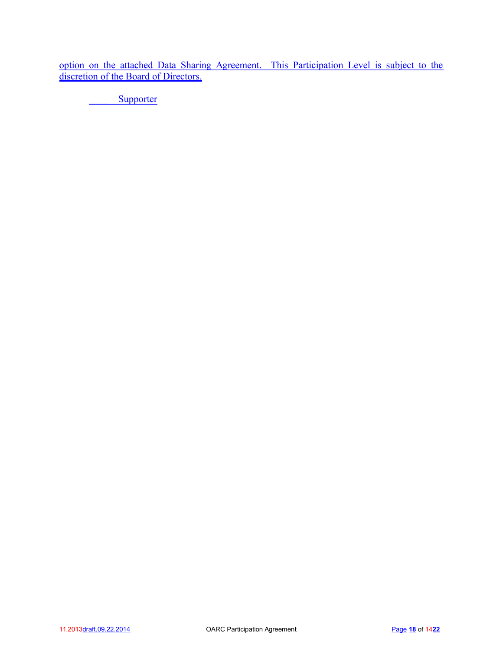option on the attached Data Sharing Agreement. This Participation Level is subject to the discretion of the Board of Directors.

\_\_\_\_ Supporter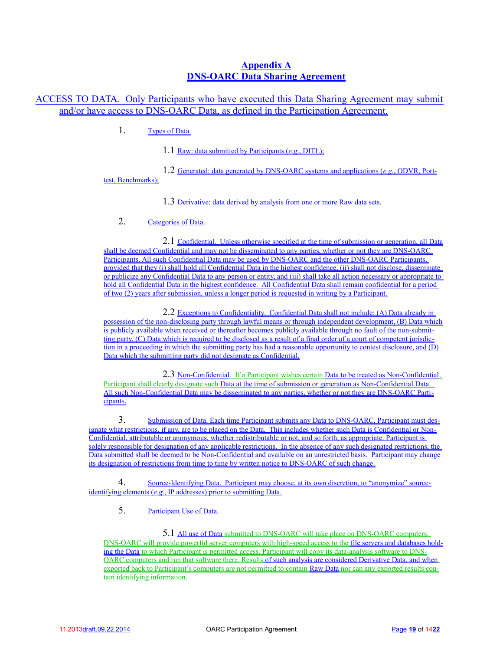## **Appendix A DNS-OARC Data Sharing Agreement**

ACCESS TO DATA. Only Participants who have executed this Data Sharing Agreement may submit and/or have access to DNS-OARC Data, as defined in the Participation Agreement.

1. Types of Data.

1.1 Raw: data submitted by Participants ( *e.g*., DITL);

1.2 Generated: data generated by DNS-OARC systems and applications ( *e.g*., ODVR, Porttest, Benchmarks);

1.3 Derivative: data derived by analysis from one or more Raw data sets.

## 2. Categories of Data.

2.1 Confidential. Unless otherwise specified at the time of submission or generation, all Data shall be deemed Confidential and may not be disseminated to any parties, whether or not they are DNS-OARC Participants. All such Confidential Data may be used by DNS-OARC and the other DNS-OARC Participants, provided that they (i) shall hold all Confidential Data in the highest confidence, (ii) shall not disclose, disseminate or publicize any Confidential Data to any person or entity, and (iii) shall take all action necessary or appropriate to hold all Confidential Data in the highest confidence. All Confidential Data shall remain confidential for a period of two (2) years after submission, unless a longer period is requested in writing by a Participant.

2.2 Exceptions to Confidentiality. Confidential Data shall not include: (A) Data already in possession of the non-disclosing party through lawful means or through independent development, (B) Data which is publicly available when received or thereafter becomes publicly available through no fault of the non-submitting party, (C) Data which is required to be disclosed as a result of a final order of a court of competent jurisdiction in a proceeding in which the submitting party has had a reasonable opportunity to contest disclosure, and (D) Data which the submitting party did not designate as Confidential.

2.3 Non-Confidential. If a Participant wishes certain Data to be treated as Non-Confidential, Participant shall clearly designate such Data at the time of submission or generation as Non-Confidential Data. All such Non-Confidential Data may be disseminated to any parties, whether or not they are DNS-OARC Participants.

3. Submission of Data. Each time Participant submits any Data to DNS-OARC, Participant must designate what restrictions, if any, are to be placed on the Data. This includes whether such Data is Confidential or Non-Confidential, attributable or anonymous, whether redistributable or not, and so forth, as appropriate. Participant is solely responsible for designation of any applicable restrictions. In the absence of any such designated restrictions, the Data submitted shall be deemed to be Non-Confidential and available on an unrestricted basis. Participant may change its designation of restrictions from time to time by written notice to DNS-OARC of such change.

4. Source-Identifying Data. Participant may choose, at its own discretion, to "anonymize" source identifying elements (*e.g.*, IP addresses) prior to submitting Data.

5. Participant Use of Data.

5.1 All use of Data submitted to DNS-OARC will take place on DNS-OARC computers. DNS-OARC will provide powerful server computers with high-speed access to the file servers and databases hold ing the Data to which Participant is permitted access. Participant will copy its data-analysis software to DNS-OARC computers and run that software there. Results of such analysis are considered Derivative Data, and when exported back to Participant's computers are not permitted to contain Raw Data nor can any exported results con tain identifying information.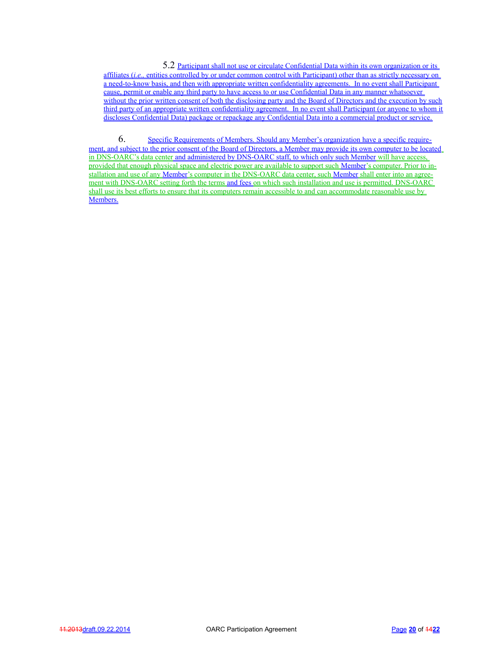5.2 Participant shall not use or circulate Confidential Data within its own organization or its affiliates *(i.e.,* entities controlled by or under common control with Participant) other than as strictly necessary on a need-to-know basis, and then with appropriate written confidentiality agreements. In no event shall Participant cause, permit or enable any third party to have access to or use Confidential Data in any manner whatsoever without the prior written consent of both the disclosing party and the Board of Directors and the execution by such third party of an appropriate written confidentiality agreement. In no event shall Participant (or anyone to whom it discloses Confidential Data) package or repackage any Confidential Data into a commercial product or service.

6. Specific Requirements of Members. Should any Member's organization have a specific require ment, and subject to the prior consent of the Board of Directors, a Member may provide its own computer to be located in DNS-OARC's data center and administered by DNS-OARC staff, to which only such Member will have access, provided that enough physical space and electric power are available to support such Member's computer. Prior to in stallation and use of any Member 's computer in the DNS-OARC data center, such Member shall enter into an agree ment with DNS-OARC setting forth the terms and fees on which such installation and use is permitted. DNS-OARC shall use its best efforts to ensure that its computers remain accessible to and can accommodate reasonable use by Members.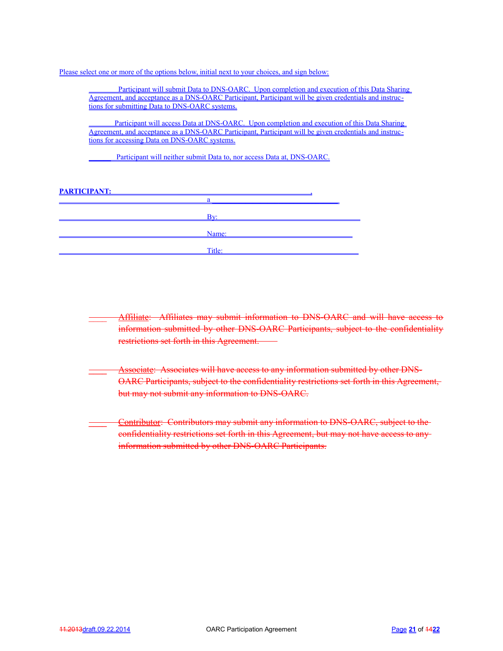Please select one or more of the options below, initial next to your choices, and sign below:

Participant will submit Data to DNS-OARC. Upon completion and execution of this Data Sharing Agreement, and acceptance as a DNS-OARC Participant, Participant will be given credentials and instructions for submitting Data to DNS-OARC systems.

Participant will access Data at DNS-OARC. Upon completion and execution of this Data Sharing Agreement, and acceptance as a DNS-OARC Participant, Participant will be given credentials and instructions for accessing Data on DNS-OARC systems.

Participant will neither submit Data to, nor access Data at, DNS-OARC.

#### PARTICIPANT:

| Bv:    |
|--------|
|        |
| Name:  |
|        |
| Title: |
|        |

Affiliate: Affiliates may submit information to DNS-OARC and will have access to information submitted by other DNS-OARC Participants, subject to the confidentiality restrictions set forth in this Agreement.

- **Associate: Associates will have access to any information submitted by other DNS-**OARC Participants, subject to the confidentiality restrictions set forth in this Agreement, but may not submit any information to DNS-OARC.
- **Contributor:** Contributors may submit any information to DNS-OARC, subject to the confidentiality restrictions set forth in this Agreement, but may not have access to any information submitted by other DNS-OARC Participants.